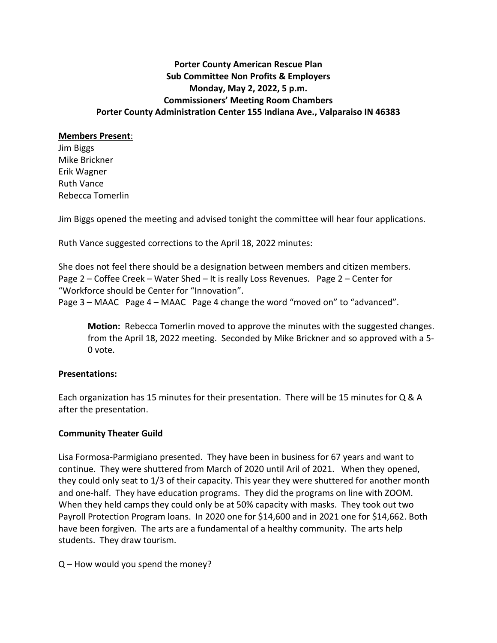# **Porter County American Rescue Plan Sub Committee Non Profits & Employers Monday, May 2, 2022, 5 p.m. Commissioners' Meeting Room Chambers Porter County Administration Center 155 Indiana Ave., Valparaiso IN 46383**

#### **Members Present**:

Jim Biggs Mike Brickner Erik Wagner Ruth Vance Rebecca Tomerlin

Jim Biggs opened the meeting and advised tonight the committee will hear four applications.

Ruth Vance suggested corrections to the April 18, 2022 minutes:

She does not feel there should be a designation between members and citizen members. Page 2 – Coffee Creek – Water Shed – It is really Loss Revenues. Page 2 – Center for "Workforce should be Center for "Innovation". Page 3 – MAAC Page 4 – MAAC Page 4 change the word "moved on" to "advanced".

**Motion:** Rebecca Tomerlin moved to approve the minutes with the suggested changes. from the April 18, 2022 meeting. Seconded by Mike Brickner and so approved with a 5- 0 vote.

### **Presentations:**

Each organization has 15 minutes for their presentation. There will be 15 minutes for Q & A after the presentation.

### **Community Theater Guild**

Lisa Formosa-Parmigiano presented. They have been in business for 67 years and want to continue. They were shuttered from March of 2020 until Aril of 2021. When they opened, they could only seat to 1/3 of their capacity. This year they were shuttered for another month and one-half. They have education programs. They did the programs on line with ZOOM. When they held camps they could only be at 50% capacity with masks. They took out two Payroll Protection Program loans. In 2020 one for \$14,600 and in 2021 one for \$14,662. Both have been forgiven. The arts are a fundamental of a healthy community. The arts help students. They draw tourism.

Q – How would you spend the money?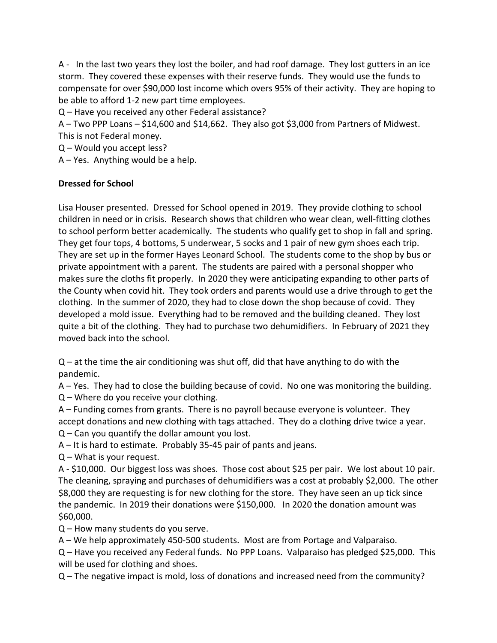A - In the last two years they lost the boiler, and had roof damage. They lost gutters in an ice storm. They covered these expenses with their reserve funds. They would use the funds to compensate for over \$90,000 lost income which overs 95% of their activity. They are hoping to be able to afford 1-2 new part time employees.

Q – Have you received any other Federal assistance?

A – Two PPP Loans – \$14,600 and \$14,662. They also got \$3,000 from Partners of Midwest. This is not Federal money.

Q – Would you accept less?

A – Yes. Anything would be a help.

## **Dressed for School**

Lisa Houser presented. Dressed for School opened in 2019. They provide clothing to school children in need or in crisis. Research shows that children who wear clean, well-fitting clothes to school perform better academically. The students who qualify get to shop in fall and spring. They get four tops, 4 bottoms, 5 underwear, 5 socks and 1 pair of new gym shoes each trip. They are set up in the former Hayes Leonard School. The students come to the shop by bus or private appointment with a parent. The students are paired with a personal shopper who makes sure the cloths fit properly. In 2020 they were anticipating expanding to other parts of the County when covid hit. They took orders and parents would use a drive through to get the clothing. In the summer of 2020, they had to close down the shop because of covid. They developed a mold issue. Everything had to be removed and the building cleaned. They lost quite a bit of the clothing. They had to purchase two dehumidifiers. In February of 2021 they moved back into the school.

 $Q$  – at the time the air conditioning was shut off, did that have anything to do with the pandemic.

A – Yes. They had to close the building because of covid. No one was monitoring the building. Q – Where do you receive your clothing.

A – Funding comes from grants. There is no payroll because everyone is volunteer. They accept donations and new clothing with tags attached. They do a clothing drive twice a year.

Q – Can you quantify the dollar amount you lost.

A – It is hard to estimate. Probably 35-45 pair of pants and jeans.

Q – What is your request.

A - \$10,000. Our biggest loss was shoes. Those cost about \$25 per pair. We lost about 10 pair. The cleaning, spraying and purchases of dehumidifiers was a cost at probably \$2,000. The other \$8,000 they are requesting is for new clothing for the store. They have seen an up tick since the pandemic. In 2019 their donations were \$150,000. In 2020 the donation amount was \$60,000.

Q – How many students do you serve.

A – We help approximately 450-500 students. Most are from Portage and Valparaiso.

Q – Have you received any Federal funds. No PPP Loans. Valparaiso has pledged \$25,000. This will be used for clothing and shoes.

Q – The negative impact is mold, loss of donations and increased need from the community?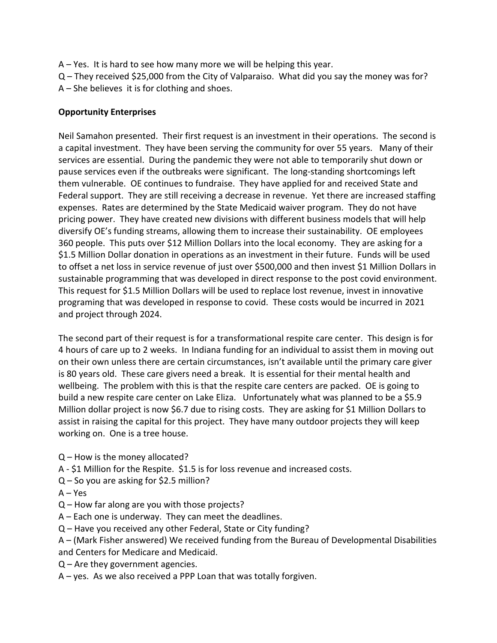- A Yes. It is hard to see how many more we will be helping this year.
- Q They received \$25,000 from the City of Valparaiso. What did you say the money was for? A – She believes it is for clothing and shoes.

## **Opportunity Enterprises**

Neil Samahon presented. Their first request is an investment in their operations. The second is a capital investment. They have been serving the community for over 55 years. Many of their services are essential. During the pandemic they were not able to temporarily shut down or pause services even if the outbreaks were significant. The long-standing shortcomings left them vulnerable. OE continues to fundraise. They have applied for and received State and Federal support. They are still receiving a decrease in revenue. Yet there are increased staffing expenses. Rates are determined by the State Medicaid waiver program. They do not have pricing power. They have created new divisions with different business models that will help diversify OE's funding streams, allowing them to increase their sustainability. OE employees 360 people. This puts over \$12 Million Dollars into the local economy. They are asking for a \$1.5 Million Dollar donation in operations as an investment in their future. Funds will be used to offset a net loss in service revenue of just over \$500,000 and then invest \$1 Million Dollars in sustainable programming that was developed in direct response to the post covid environment. This request for \$1.5 Million Dollars will be used to replace lost revenue, invest in innovative programing that was developed in response to covid. These costs would be incurred in 2021 and project through 2024.

The second part of their request is for a transformational respite care center. This design is for 4 hours of care up to 2 weeks. In Indiana funding for an individual to assist them in moving out on their own unless there are certain circumstances, isn't available until the primary care giver is 80 years old. These care givers need a break. It is essential for their mental health and wellbeing. The problem with this is that the respite care centers are packed. OE is going to build a new respite care center on Lake Eliza. Unfortunately what was planned to be a \$5.9 Million dollar project is now \$6.7 due to rising costs. They are asking for \$1 Million Dollars to assist in raising the capital for this project. They have many outdoor projects they will keep working on. One is a tree house.

- Q How is the money allocated?
- A \$1 Million for the Respite. \$1.5 is for loss revenue and increased costs.
- Q So you are asking for \$2.5 million?
- $A Yes$
- Q How far along are you with those projects?
- A Each one is underway. They can meet the deadlines.
- Q Have you received any other Federal, State or City funding?
- A (Mark Fisher answered) We received funding from the Bureau of Developmental Disabilities and Centers for Medicare and Medicaid.
- $Q$  Are they government agencies.
- A yes. As we also received a PPP Loan that was totally forgiven.